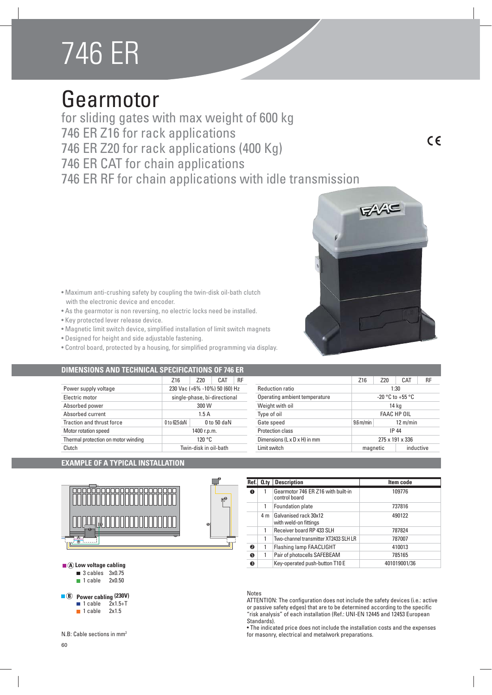## 746 ER

### Gearmotor

for sliding gates with max weight of 600 kg 746 ER Z16 for rack applications 746 ER Z20 for rack applications (400 Kg) 746 ER CAT for chain applications 746 ER RF for chain applications with idle transmission

 $\epsilon$ 



- As the gearmotor is non reversing, no electric locks need be installed.
- Key protected lever release device.
- Magnetic limit switch device, simplified installation of limit switch magnets
- Designed for height and side adjustable fastening.
- Control board, protected by a housing, for simplified programming via display.

| DIMENSIONS AND TECHNICAL SPECIFICATIONS OF 746 ER |                               |                              |               |              |                               |                        |     |                    |           |
|---------------------------------------------------|-------------------------------|------------------------------|---------------|--------------|-------------------------------|------------------------|-----|--------------------|-----------|
|                                                   | Z <sub>16</sub>               | Z <sub>20</sub>              | CAT           | RF           |                               | Z16                    | Z20 | CAT                | <b>RF</b> |
| Power supply voltage                              | 230 Vac (+6% -10%) 50 (60) Hz |                              |               |              | <b>Reduction ratio</b>        |                        |     | 1:30               |           |
| Electric motor                                    |                               | single-phase, bi-directional |               |              | Operating ambient temperature |                        |     | -20 °C to +55 °C   |           |
| Absorbed power                                    |                               | 300 W                        |               |              | Weight with oil               |                        |     | 14 ka              |           |
| Absorbed current                                  |                               | 1.5A                         |               |              | Type of oil                   |                        |     | <b>FAAC HP OIL</b> |           |
| Traction and thrust force                         | $0$ to 62.5 da $N$            |                              | $0$ to 50 daN |              | Gate speed                    | $9.6 \,\mathrm{m/min}$ |     | $12 \text{ m/min}$ |           |
| Motor rotation speed                              |                               | 1400 r.p.m.                  |               |              | Protection class              |                        |     | IP 44              |           |
| Thermal protection on motor winding               |                               | 120 °C                       |               |              | Dimensions (L x D x H) in mm  |                        |     | 275 x 191 x 336    |           |
| Clutch                                            | Twin-disk in oil-bath         |                              |               | Limit switch |                               | inductive<br>magnetic  |     |                    |           |

### Z16 Z20 CAT RF

| Power supply voltage                | 230 Vac (+6% -10%) 50 (60) Hz |               |  |
|-------------------------------------|-------------------------------|---------------|--|
| Electric motor                      | single-phase, bi-directional  |               |  |
| Absorbed power                      | 300 W                         |               |  |
| Absorbed current                    | 1.5A                          |               |  |
| Traction and thrust force           | $0$ to 62.5 da N              | $0$ to 50 daN |  |
| Motor rotation speed                | 1400 r.p.m.                   |               |  |
| Thermal protection on motor winding | 120 °C                        |               |  |
| Clutch                              | Twin-disk in oil-bath         |               |  |

### **EXAMPLE OF A TYPICAL INSTALLATION**



| $\blacksquare$ (A) Low voltage cabling |  |
|----------------------------------------|--|
|                                        |  |

 $\blacksquare$  3 cables 3x0.75 1 cable 2x0.50

**8** Power cabling (230V)

- $\blacksquare$  1 cable  $2x1.5+T$  $\blacksquare$  1 cable 2x1.5
- 

N.B: Cable sections in mm2

# **3**

**2**

|           |                | Ref. 0.ty Description                               | Item code    |
|-----------|----------------|-----------------------------------------------------|--------------|
| $\bullet$ |                | Gearmotor 746 ER Z16 with built-in<br>control board | 109776       |
|           | 1              | Foundation plate                                    | 737816       |
|           | 4 <sub>m</sub> | Galvanised rack 30x12<br>with weld-on fittings      | 490122       |
|           | 1              | Receiver board RP 433 SLH                           | 787824       |
|           | 1              | Two-channel transmitter XT2433 SLH LR               | 787007       |
| ❷         | 1              | <b>Flashing lamp FAACLIGHT</b>                      | 410013       |
| ❺         | 1              | Pair of photocells SAFEBEAM                         | 785165       |
| ❸         |                | Key-operated push-button T10 E                      | 401019001/36 |

#### Notes

ATTENTION: The configuration does not include the safety devices (i.e.: active or passive safety edges) that are to be determined according to the specific "risk analysis" of each installation (Ref.: UNI-EN 12445 and 12453 European Standards).

• The indicated price does not include the installation costs and the expenses for masonry, electrical and metalwork preparations.